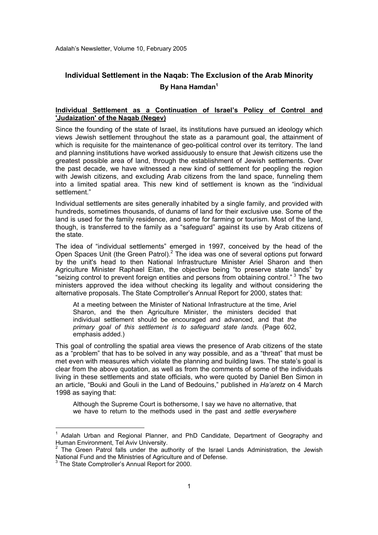## **Individual Settlement in the Naqab: The Exclusion of the Arab Minority By Hana Hamdan<sup>1</sup>**

## **Individual Settlement as a Continuation of Israel's Policy of Control and 'Judaization' of the Naqab (Negev)**

Since the founding of the state of Israel, its institutions have pursued an ideology which views Jewish settlement throughout the state as a paramount goal, the attainment of which is requisite for the maintenance of geo-political control over its territory. The land and planning institutions have worked assiduously to ensure that Jewish citizens use the greatest possible area of land, through the establishment of Jewish settlements. Over the past decade, we have witnessed a new kind of settlement for peopling the region with Jewish citizens, and excluding Arab citizens from the land space, funneling them into a limited spatial area. This new kind of settlement is known as the "individual settlement."

Individual settlements are sites generally inhabited by a single family, and provided with hundreds, sometimes thousands, of dunams of land for their exclusive use. Some of the land is used for the family residence, and some for farming or tourism. Most of the land, though, is transferred to the family as a "safeguard" against its use by Arab citizens of the state.

The idea of "individual settlements" emerged in 1997, conceived by the head of the Open Spaces Unit (the Green Patrol). $<sup>2</sup>$  The idea was one of several options put forward</sup> by the unit's head to then National Infrastructure Minister Ariel Sharon and then Agriculture Minister Raphael Eitan, the objective being "to preserve state lands" by "seizing control to prevent foreign entities and persons from obtaining control."<sup>3</sup> The two ministers approved the idea without checking its legality and without considering the alternative proposals. The State Comptroller's Annual Report for 2000, states that:

At a meeting between the Minister of National Infrastructure at the time, Ariel Sharon, and the then Agriculture Minister, the ministers decided that individual settlement should be encouraged and advanced, and that *the primary goal of this settlement is to safeguard state lands.* (Page 602, emphasis added.)

This goal of controlling the spatial area views the presence of Arab citizens of the state as a "problem" that has to be solved in any way possible, and as a "threat" that must be met even with measures which violate the planning and building laws. The state's goal is clear from the above quotation, as well as from the comments of some of the individuals living in these settlements and state officials, who were quoted by Daniel Ben Simon in an article, "Bouki and Gouli in the Land of Bedouins," published in *Ha'aretz* on 4 March 1998 as saying that:

Although the Supreme Court is bothersome, I say we have no alternative, that we have to return to the methods used in the past and *settle everywhere* 

 $\overline{a}$ 

<sup>1</sup> Adalah Urban and Regional Planner, and PhD Candidate, Department of Geography and Human Environment, Tel Aviv University.

<sup>2</sup> The Green Patrol falls under the authority of the Israel Lands Administration, the Jewish National Fund and the Ministries of Agriculture and of Defense.<br><sup>3</sup> The State Comptreller's Annual Benert for 2000.

<sup>&</sup>lt;sup>3</sup> The State Comptroller's Annual Report for 2000.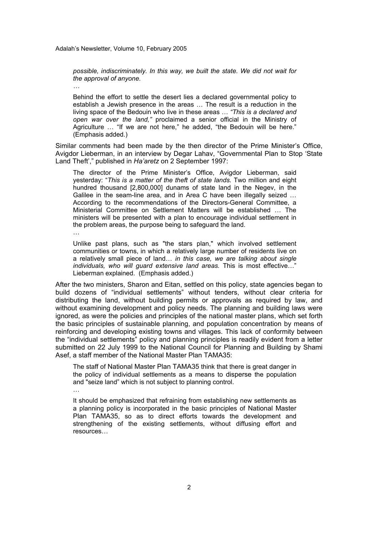Adalah's Newsletter, Volume 10, February 2005

*…* 

…

*possible, indiscriminately. In this way, we built the state. We did not wait for the approval of anyone.* 

Behind the effort to settle the desert lies a declared governmental policy to establish a Jewish presence in the areas … The result is a reduction in the living space of the Bedouin who live in these areas … *"This is a declared and open war over the land,"* proclaimed a senior official in the Ministry of Agriculture … "If we are not here," he added, "the Bedouin will be here." (Emphasis added.)

Similar comments had been made by the then director of the Prime Minister's Office, Avigdor Lieberman, in an interview by Degar Lahav, "Governmental Plan to Stop 'State Land Theft'," published in *Ha'aretz* on 2 September 1997:

The director of the Prime Minister's Office, Avigdor Lieberman, said yesterday: "*This is a matter of the theft of state lands.* Two million and eight hundred thousand [2,800,000] dunams of state land in the Negev, in the Galilee in the seam-line area, and in Area C have been illegally seized … According to the recommendations of the Directors-General Committee, a Ministerial Committee on Settlement Matters will be established … The ministers will be presented with a plan to encourage individual settlement in the problem areas, the purpose being to safeguard the land.

Unlike past plans, such as "the stars plan," which involved settlement communities or towns, in which a relatively large number of residents live on a relatively small piece of land… *in this case, we are talking about single individuals, who will guard extensive land areas.* This is most effective…" Lieberman explained. (Emphasis added.)

After the two ministers, Sharon and Eitan, settled on this policy, state agencies began to build dozens of "individual settlements" without tenders, without clear criteria for distributing the land, without building permits or approvals as required by law, and without examining development and policy needs. The planning and building laws were ignored, as were the policies and principles of the national master plans, which set forth the basic principles of sustainable planning, and population concentration by means of reinforcing and developing existing towns and villages. This lack of conformity between the "individual settlements" policy and planning principles is readily evident from a letter submitted on 22 July 1999 to the National Council for Planning and Building by Shami Asef, a staff member of the National Master Plan TAMA35:

The staff of National Master Plan TAMA35 think that there is great danger in the policy of individual settlements as a means to disperse the population and "seize land" which is not subject to planning control. …

It should be emphasized that refraining from establishing new settlements as a planning policy is incorporated in the basic principles of National Master Plan TAMA35, so as to direct efforts towards the development and strengthening of the existing settlements, without diffusing effort and resources…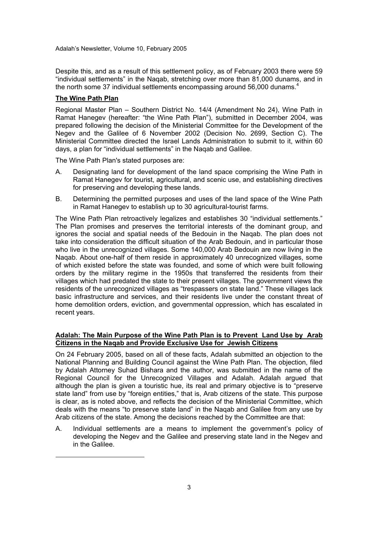Adalah's Newsletter, Volume 10, February 2005

Despite this, and as a result of this settlement policy, as of February 2003 there were 59 "individual settlements" in the Naqab, stretching over more than 81,000 dunams, and in the north some 37 individual settlements encompassing around 56,000 dunams. $4$ 

## **The Wine Path Plan**

 $\overline{a}$ 

Regional Master Plan – Southern District No. 14/4 (Amendment No 24), Wine Path in Ramat Hanegev (hereafter: "the Wine Path Plan"), submitted in December 2004, was prepared following the decision of the Ministerial Committee for the Development of the Negev and the Galilee of 6 November 2002 (Decision No. 2699, Section C). The Ministerial Committee directed the Israel Lands Administration to submit to it, within 60 days, a plan for "individual settlements" in the Naqab and Galilee.

The Wine Path Plan's stated purposes are:

- A. Designating land for development of the land space comprising the Wine Path in Ramat Hanegev for tourist, agricultural, and scenic use, and establishing directives for preserving and developing these lands.
- B. Determining the permitted purposes and uses of the land space of the Wine Path in Ramat Hanegev to establish up to 30 agricultural-tourist farms.

The Wine Path Plan retroactively legalizes and establishes 30 "individual settlements." The Plan promises and preserves the territorial interests of the dominant group, and ignores the social and spatial needs of the Bedouin in the Naqab. The plan does not take into consideration the difficult situation of the Arab Bedouin, and in particular those who live in the unrecognized villages. Some 140,000 Arab Bedouin are now living in the Naqab. About one-half of them reside in approximately 40 unrecognized villages, some of which existed before the state was founded, and some of which were built following orders by the military regime in the 1950s that transferred the residents from their villages which had predated the state to their present villages. The government views the residents of the unrecognized villages as "trespassers on state land." These villages lack basic infrastructure and services, and their residents live under the constant threat of home demolition orders, eviction, and governmental oppression, which has escalated in recent years.

## **Adalah: The Main Purpose of the Wine Path Plan is to Prevent Land Use by Arab Citizens in the Naqab and Provide Exclusive Use for Jewish Citizens**

On 24 February 2005, based on all of these facts, Adalah submitted an objection to the National Planning and Building Council against the Wine Path Plan. The objection, filed by Adalah Attorney Suhad Bishara and the author, was submitted in the name of the Regional Council for the Unrecognized Villages and Adalah. Adalah argued that although the plan is given a touristic hue, its real and primary objective is to "preserve state land" from use by "foreign entities." that is, Arab citizens of the state. This purpose is clear, as is noted above, and reflects the decision of the Ministerial Committee, which deals with the means "to preserve state land" in the Naqab and Galilee from any use by Arab citizens of the state. Among the decisions reached by the Committee are that:

A. Individual settlements are a means to implement the government's policy of developing the Negev and the Galilee and preserving state land in the Negev and in the Galilee.